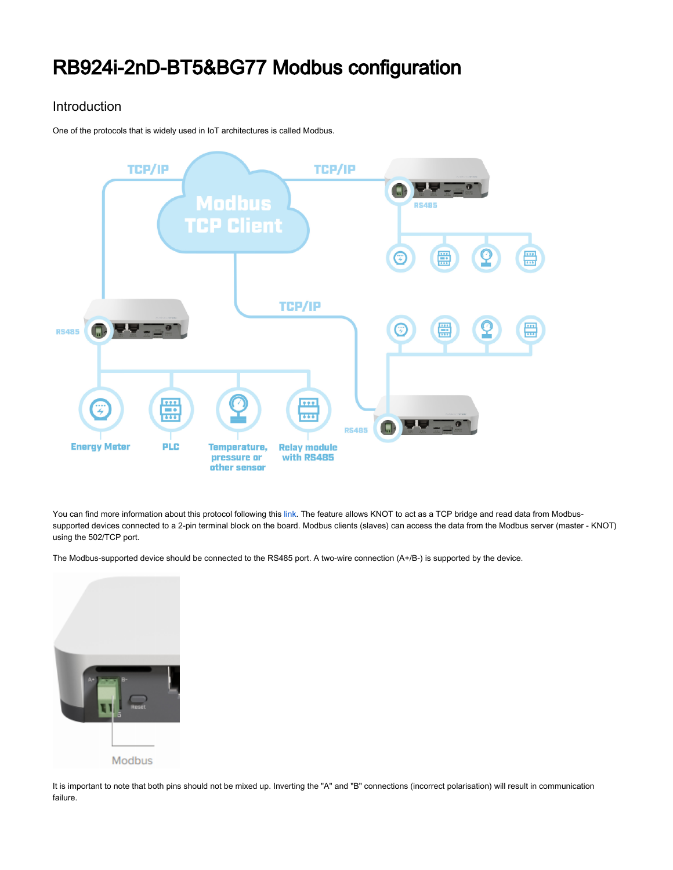# RB924i-2nD-BT5&BG77 Modbus configuration

### Introduction

One of the protocols that is widely used in IoT architectures is called Modbus.



You can find more information about this protocol following this [link.](https://en.wikipedia.org/wiki/Modbus) The feature allows KNOT to act as a TCP bridge and read data from Modbussupported devices connected to a 2-pin terminal block on the board. Modbus clients (slaves) can access the data from the Modbus server (master - KNOT) using the 502/TCP port.

The Modbus-supported device should be connected to the RS485 port. A two-wire connection (A+/B-) is supported by the device.



It is important to note that both pins should not be mixed up. Inverting the "A" and "B" connections (incorrect polarisation) will result in communication failure.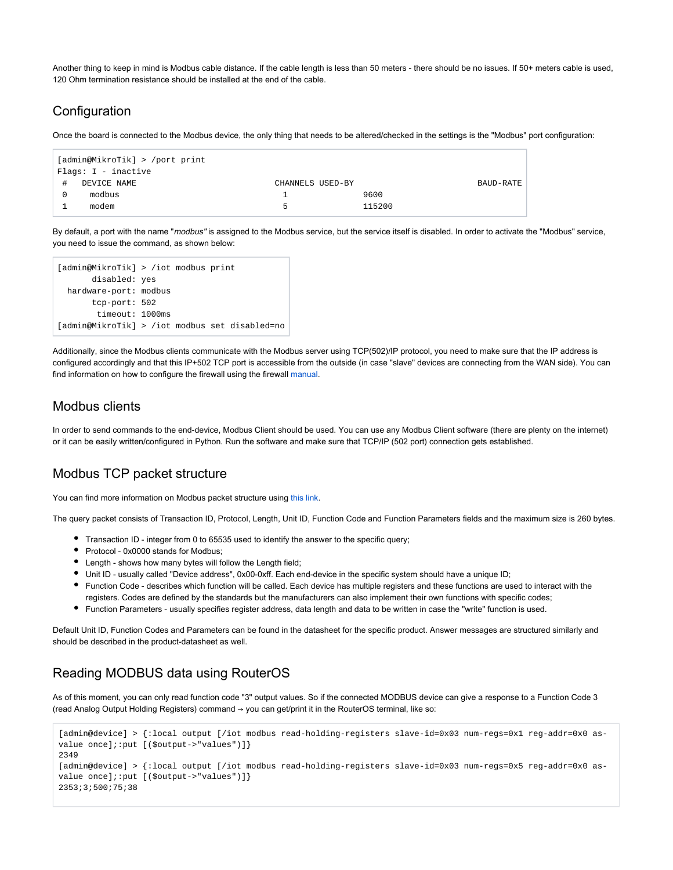Another thing to keep in mind is Modbus cable distance. If the cable length is less than 50 meters - there should be no issues. If 50+ meters cable is used, 120 Ohm termination resistance should be installed at the end of the cable.

#### **Configuration**

Once the board is connected to the Modbus device, the only thing that needs to be altered/checked in the settings is the "Modbus" port configuration:

| [admin@MikroTik] > /port print |             |                  |        |           |
|--------------------------------|-------------|------------------|--------|-----------|
| Flags: I - inactive            |             |                  |        |           |
| #                              | DEVICE NAME | CHANNELS USED-BY |        | BAUD-RATE |
|                                | modbus      |                  | 9600   |           |
|                                | modem       | Б.               | 115200 |           |

By default, a port with the name "modbus" is assigned to the Modbus service, but the service itself is disabled. In order to activate the "Modbus" service, you need to issue the command, as shown below:

```
[admin@MikroTik] > /iot modbus print 
       disabled: yes
  hardware-port: modbus
       tcp-port: 502
        timeout: 1000ms
[admin@MikroTik] > /iot modbus set disabled=no
```
Additionally, since the Modbus clients communicate with the Modbus server using TCP(502)/IP protocol, you need to make sure that the IP address is configured accordingly and that this IP+502 TCP port is accessible from the outside (in case "slave" devices are connecting from the WAN side). You can find information on how to configure the firewall using the firewall [manual](https://help.mikrotik.com/docs/display/ROS/Basic+Concepts).

#### Modbus clients

In order to send commands to the end-device, Modbus Client should be used. You can use any Modbus Client software (there are plenty on the internet) or it can be easily written/configured in Python. Run the software and make sure that TCP/IP (502 port) connection gets established.

#### Modbus TCP packet structure

You can find more information on Modbus packet structure using [this link.](https://en.wikipedia.org/wiki/Modbus#Frame_formats)

The query packet consists of Transaction ID, Protocol, Length, Unit ID, Function Code and Function Parameters fields and the maximum size is 260 bytes.

- Transaction ID integer from 0 to 65535 used to identify the answer to the specific query;
- Protocol 0x0000 stands for Modbus;
- Length shows how many bytes will follow the Length field;
- Unit ID usually called "Device address", 0x00-0xff. Each end-device in the specific system should have a unique ID;
- Function Code describes which function will be called. Each device has multiple registers and these functions are used to interact with the registers. Codes are defined by the standards but the manufacturers can also implement their own functions with specific codes;
- Function Parameters usually specifies register address, data length and data to be written in case the "write" function is used.

Default Unit ID, Function Codes and Parameters can be found in the datasheet for the specific product. Answer messages are structured similarly and should be described in the product-datasheet as well.

## Reading MODBUS data using RouterOS

As of this moment, you can only read function code "3" output values. So if the connected MODBUS device can give a response to a Function Code 3 (read Analog Output Holding Registers) command → you can get/print it in the RouterOS terminal, like so:

```
[admin@device] > {:local output [/iot modbus read-holding-registers slave-id=0x03 num-regs=0x1 reg-addr=0x0 as-
value once];:put [($output->"values")]}
2349
[admin@device] > {:local output [/iot modbus read-holding-registers slave-id=0x03 num-regs=0x5 reg-addr=0x0 as-
value once];:put [($output->"values")]}
2353;3;500;75;38
```